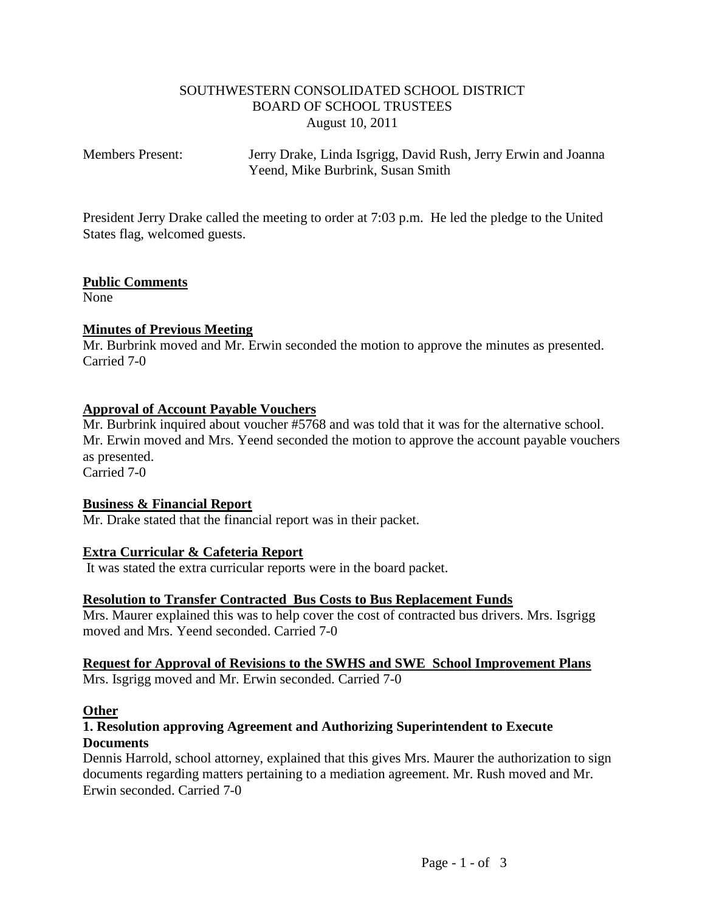# SOUTHWESTERN CONSOLIDATED SCHOOL DISTRICT BOARD OF SCHOOL TRUSTEES August 10, 2011

Members Present: Jerry Drake, Linda Isgrigg, David Rush, Jerry Erwin and Joanna Yeend, Mike Burbrink, Susan Smith

President Jerry Drake called the meeting to order at 7:03 p.m. He led the pledge to the United States flag, welcomed guests.

# **Public Comments**

None

# **Minutes of Previous Meeting**

Mr. Burbrink moved and Mr. Erwin seconded the motion to approve the minutes as presented. Carried 7-0

# **Approval of Account Payable Vouchers**

Mr. Burbrink inquired about voucher #5768 and was told that it was for the alternative school. Mr. Erwin moved and Mrs. Yeend seconded the motion to approve the account payable vouchers as presented. Carried 7-0

### **Business & Financial Report**

Mr. Drake stated that the financial report was in their packet.

### **Extra Curricular & Cafeteria Report**

It was stated the extra curricular reports were in the board packet.

### **Resolution to Transfer Contracted Bus Costs to Bus Replacement Funds**

Mrs. Maurer explained this was to help cover the cost of contracted bus drivers. Mrs. Isgrigg moved and Mrs. Yeend seconded. Carried 7-0

#### **Request for Approval of Revisions to the SWHS and SWE School Improvement Plans** Mrs. Isgrigg moved and Mr. Erwin seconded. Carried 7-0

#### **Other**

# **1. Resolution approving Agreement and Authorizing Superintendent to Execute Documents**

Dennis Harrold, school attorney, explained that this gives Mrs. Maurer the authorization to sign documents regarding matters pertaining to a mediation agreement. Mr. Rush moved and Mr. Erwin seconded. Carried 7-0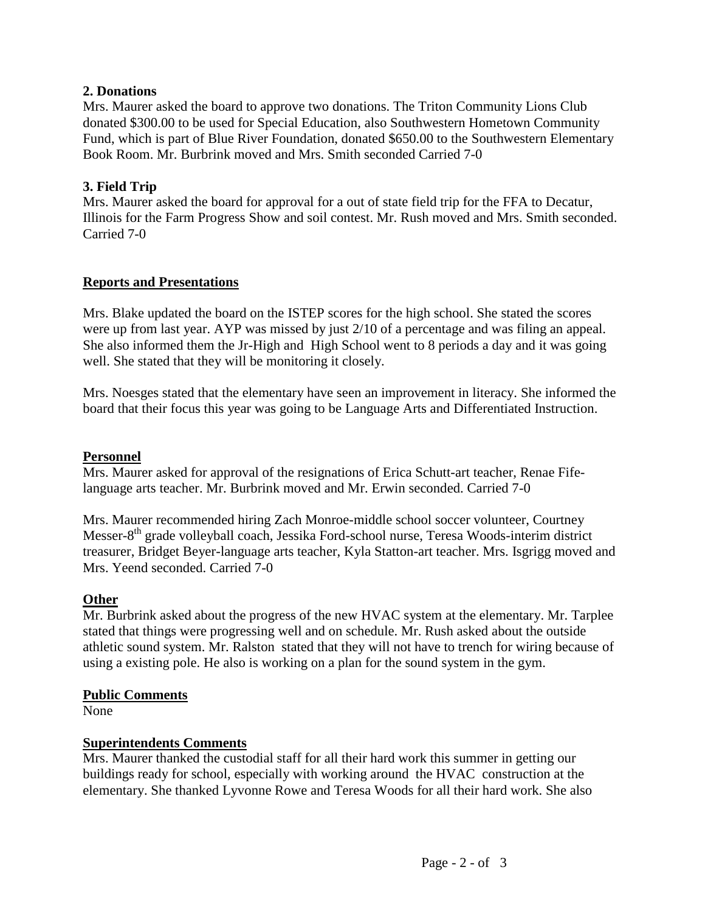# **2. Donations**

Mrs. Maurer asked the board to approve two donations. The Triton Community Lions Club donated \$300.00 to be used for Special Education, also Southwestern Hometown Community Fund, which is part of Blue River Foundation, donated \$650.00 to the Southwestern Elementary Book Room. Mr. Burbrink moved and Mrs. Smith seconded Carried 7-0

# **3. Field Trip**

Mrs. Maurer asked the board for approval for a out of state field trip for the FFA to Decatur, Illinois for the Farm Progress Show and soil contest. Mr. Rush moved and Mrs. Smith seconded. Carried 7-0

# **Reports and Presentations**

Mrs. Blake updated the board on the ISTEP scores for the high school. She stated the scores were up from last year. AYP was missed by just 2/10 of a percentage and was filing an appeal. She also informed them the Jr-High and High School went to 8 periods a day and it was going well. She stated that they will be monitoring it closely.

Mrs. Noesges stated that the elementary have seen an improvement in literacy. She informed the board that their focus this year was going to be Language Arts and Differentiated Instruction.

### **Personnel**

Mrs. Maurer asked for approval of the resignations of Erica Schutt-art teacher, Renae Fifelanguage arts teacher. Mr. Burbrink moved and Mr. Erwin seconded. Carried 7-0

Mrs. Maurer recommended hiring Zach Monroe-middle school soccer volunteer, Courtney Messer-8<sup>th</sup> grade volleyball coach, Jessika Ford-school nurse, Teresa Woods-interim district treasurer, Bridget Beyer-language arts teacher, Kyla Statton-art teacher. Mrs. Isgrigg moved and Mrs. Yeend seconded. Carried 7-0

### **Other**

Mr. Burbrink asked about the progress of the new HVAC system at the elementary. Mr. Tarplee stated that things were progressing well and on schedule. Mr. Rush asked about the outside athletic sound system. Mr. Ralston stated that they will not have to trench for wiring because of using a existing pole. He also is working on a plan for the sound system in the gym.

#### **Public Comments**

None

### **Superintendents Comments**

Mrs. Maurer thanked the custodial staff for all their hard work this summer in getting our buildings ready for school, especially with working around the HVAC construction at the elementary. She thanked Lyvonne Rowe and Teresa Woods for all their hard work. She also